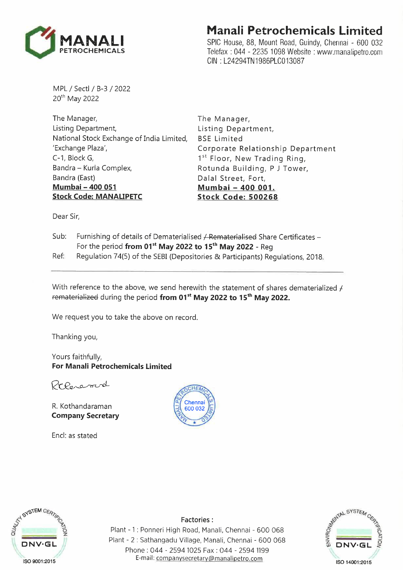

## **Manali Petrochemicals Limited**

SPIC House, 88, Mount Road, Guindy, Chennai - 600 032 Telefax : 044 - 2235 1098 Website : www.manalipetro.com GIN : L24294TN1986PLC013087

MPL / Sectl / 8-3/2022 20<sup>th</sup> May 2022

The Manager, Listing Department, National Stock Exchange of India Limited, 'Exchange Plaza', C-1, Block G, Sandra - Kurla Complex, Sandra (East) **Mumbai-400 051 Stock Code: MANALIPETC** 

The Manager, Listing Department, BSE Limited Corporate Relationship Department 1<sup>st</sup> Floor, New Trading Ring, Rotunda Building, P J Tower, Dalal Street, Fort, **Mumbai - 400 001. Stock Code: 500268** 

Dear Sir,

- Sub: Furnishing of details of Dematerialised / Rematerialised Share Certificates -For the period **from 01 st May 2022 to 15 th May 2022 -** Reg Ref: Regulation 74(5) of the SEBI (Depositories & Participants) Regulations, 2018.
- 

With reference to the above, we send herewith the statement of shares dematerialized *1*  rematerialized during the period **from 01st May 2022 to 15 th May 2022.** 

We request you to take the above on record.

Thanking you,

Yours faithfully, **For Manali Petrochemicals Limited** 

Presend

R. Kothandaraman **Company Secretary** 

Encl: as stated





**Factories:** 

Plant - 1 : Ponneri High Road, Manali, Chennai - 600 068 Plant - 2 : Sathangadu Village, Manali, Chennai - 600 068 Phone : 044 - 2594 1025 Fax : 044 - 2594 1199 E-mail: companysecretary@manalipetro.com

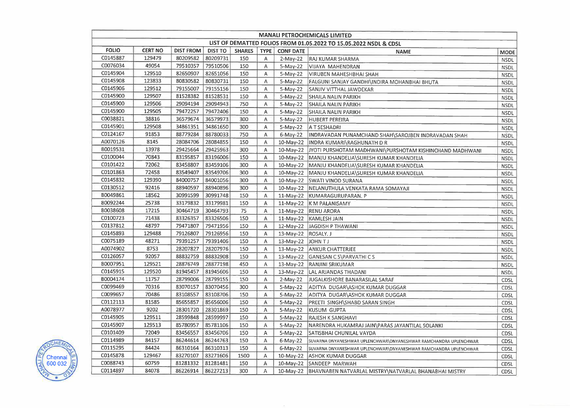| <b>MANALI PETROCHEMICALS LIMITED</b>                              |                |                   |                |               |             |                       |                                                                   |             |
|-------------------------------------------------------------------|----------------|-------------------|----------------|---------------|-------------|-----------------------|-------------------------------------------------------------------|-------------|
| LIST OF DEMATTED FOLIOS FROM 01.05.2022 TO 15.05.2022 NSDL & CDSL |                |                   |                |               |             |                       |                                                                   |             |
| <b>FOLIO</b>                                                      | <b>CERT NO</b> | <b>DIST FROM</b>  | <b>DIST TO</b> | <b>SHARES</b> | <b>TYPE</b> | <b>CONF DATE</b>      | <b>NAME</b>                                                       | <b>MODE</b> |
| C0145887                                                          | 129479         | 80209582          | 80209731       | 150           | A           | 2-May-22              | <b>RAJ KUMAR SHARMA</b>                                           | <b>NSDL</b> |
| C0076034                                                          | 49054          | 79510357          | 79510506       | 150           | Α           | $5-May-22$            | VIJAYA MAHENDRAN                                                  | <b>NSDL</b> |
| C0145904                                                          | 129510         | 82650907          | 82651056       | 150           | A           | $5-May-22$            | VIRUBEN MAHESHBHAI SHAH                                           | <b>NSDL</b> |
| C0145908                                                          | 123833         | 80830582          | 80830731       | 150           | Α           | $5-May-22$            | FALGUNI SANJAY GANDHI\INDIRA MOHANBHAI BHUTA                      | <b>NSDL</b> |
| C0145906                                                          | 129512         | 79155007          | 79155156       | 150           | A           | $5-May-22$            | SANJIV VITTHAL JAWDEKAR                                           | <b>NSDL</b> |
| C0145900                                                          | 129507         | 81528382          | 81528531       | 150           | A           | 5-May-22              | <b>SHAILA NALIN PARIKH</b>                                        | <b>NSDL</b> |
| C0145900                                                          | 129506         | 29094194          | 29094943       | 750           | Α           | 5-May-22              | <b>SHAILA NALIN PARIKH</b>                                        | <b>NSDL</b> |
| C0145900                                                          | 129505         | 79472257          | 79472406       | 150           | Α           | 5-May-22              | SHAILA NALIN PARIKH                                               | <b>NSDL</b> |
| C0038821                                                          | 38816          | 36579674          | 36579973       | 300           | Α           | $5-May-22$            | HUBERT PEREIRA                                                    | <b>NSDL</b> |
| C0145901                                                          | 129508         | 34861351          | 34861650       | 300           | A           |                       | 5-May-22   A T SESHADRI                                           | <b>NSDL</b> |
| C0124167                                                          | 91853          | 88779284          | 88780033       | 750           | Α           |                       | 6-May-22   INDRAVADAN PUNAMCHAND SHAH\SAROJBEN INDRAVADAN SHAH    | <b>NSDL</b> |
| A0070126                                                          | 8145           | 28084706          | 28084855       | 150           | Α           |                       | 10-May-22   INDRA KUMARI\RAGHUNATH D R                            | <b>NSDL</b> |
| B0019531                                                          | 13978          | 29425664          | 29425963       | 300           | Α           |                       | 10-May-22 JYOTI PURSHOTAM MADHWANI\PURSHOTAM KISHINCHAND MADHWANI | <b>NSDL</b> |
| C0100044                                                          | 70843          | 83195857          | 83196006       | 150           | A           |                       | 10-May-22   MANJU KHANDELIA\SURESH KUMAR KHANDELIA                | <b>NSDL</b> |
| C0101422                                                          | 72062          | 83458807          | 83459106       | 300           | Α           |                       | 10-May-22   MANJU KHANDELIA SURESH KUMAR KHANDELIA                | <b>NSDL</b> |
| C0101863                                                          | 72458          | 83549407          | 83549706       | 300           | A           |                       | 10-May-22 MANJU KHANDELIA\SURESH KUMAR KHANDELIA                  | <b>NSDL</b> |
| C0145832                                                          | 129390         | 84000757          | 84001056       | 300           | A           |                       | 10-May-22 SWATI VINOD SURANA                                      | <b>NSDL</b> |
| C0130512                                                          | 92416          | 88940597          | 88940896       | 300           | Α           |                       | 10-May-22   NELANUTHULA VENKATA RAMA SOMAYAJI                     | <b>NSDL</b> |
| B0049861                                                          | 18562          | 30991599          | 30991748       | 150           | A           |                       | 11-May-22 KUMARAGURUPARAN. P                                      | <b>NSDL</b> |
| B0092244                                                          | 25738          | 33179832          | 33179981       | 150           | Α           |                       | 11-May-22 K M PALANISAMY                                          | <b>NSDL</b> |
| B0038608                                                          | 17215          | 30464719          | 30464793       | 75            | A           |                       | 11-May-22 RENU ARORA                                              | <b>NSDL</b> |
| C0100723                                                          | 71438          | 83326357          | 83326506       | 150           | Α           |                       | 11-May-22 KAMLESH JAIN                                            | <b>NSDL</b> |
| C0137812                                                          | 48797          | 79471807          | 79471956       | 150           | Α           |                       | 12-May-22 JAGDISH P THAWANI                                       | <b>NSDL</b> |
| C0145893                                                          | 129488         | 79126807          | 79126956       | 150           | Α           | 13-May-22   ROSALY. J |                                                                   | <b>NSDL</b> |
| C0075189                                                          | 48271          | 79391257          | 79391406       | 150           | Α           | 13-May-22 JOHN TJ     |                                                                   | <b>NSDL</b> |
| A0074902                                                          | 8753           | 28207827          | 28207976       | 150           | Α           |                       | 13-May-22 ANKUR CHATTERJEE                                        | <b>NSDL</b> |
| C0126057                                                          | 92057          | 88832759          | 88832908       | 150           | Α           |                       | 13-May-22   GANESAN C S\PARVATHI C S                              | <b>NSDL</b> |
| B0007951                                                          | 129521         | 28876749          | 28877198       | 450           | Α           |                       | 13-May-22   RANJINI SRIKUMAR                                      | <b>NSDL</b> |
| C0145915                                                          | 129520         | 81945457          | 81945606       | 150           | Α           |                       | 13-May-22   LAL ARJANDAS THADANI                                  | <b>NSDL</b> |
| B0004174                                                          | 11757          | 28799006          | 28799155       | 150           | A           | $2-May-22$            | JUGALKISHORE BANARASILAL SARAF                                    | CDSL        |
| C0099469                                                          | 70316          | 83070157          | 83070456       | 300           | A           | 5-May-22              | ADITYA DUGAR\ASHOK KUMAR DUGGAR                                   | <b>CDSL</b> |
| C0099657                                                          | 70486          | 83108557          | 83108706       | 150           | A           | $5-May-22$            | ADITYA DUGAR\ASHOK KUMAR DUGGAR                                   | CDSL        |
| C0112113                                                          | 81585          | 85655857          | 85656006       | 150           | Α           | 5-May-22              | PREETI SINGH\SHABD SARAN SINGH                                    | CDSL        |
| A0078977                                                          | 9202           | 28301720          | 28301869       | 150           | A           | 5-May-22              | KUSUM GUPTA                                                       | CDSL        |
| C0145905                                                          | 129511         | 28599848          | 28599997       | 150           | А           | $5-May-22$            | RAJESH K SANGHAVI                                                 | <b>CDSL</b> |
| C0145907                                                          | 129513         | 85780957          | 85781106       | 150           | Α           | $5-May-22$            | NARENDRA HUKAMRAJ JAIN\PARAS JAYANTILAL SOLANKI                   | <b>CDSL</b> |
| C0101409                                                          | 72049          | 83456557          | 83456706       | 150           | Α           | $5-May-22$            | SATISBHAI CHUNILAL VAYDA                                          | <b>CDSL</b> |
| C0114989                                                          | 84157          | 86244614          | 86244763       | 150           | Α           | $6$ -May-22           | SUVARNA DNYANESHWAR UPLENCHWAR\DNYANESHWAR RAMCHANDRA UPLENCHWAR  | <b>CDSL</b> |
| C0115295                                                          | 84424          | 86310164          | 86310313       | 150           | Α           | $6$ -May-22           | SUVARNA DNYANESHWAR UPLENCHWAR\DNYANESHWAR RAMCHANDRA UPLENCHWAR  | <b>CDSL</b> |
| C0145878                                                          | 129467         | 83270107          | 83271606       | 1500          | Α           | 10-May-22             | <b>ASHOK KUMAR DUGGAR</b>                                         | <b>CDSL</b> |
| C0088743                                                          | 60759          | 81281332 81281481 |                | 150           | A           |                       | 10-May-22 SANDEEP MARWAH                                          | CDSL        |
| C0114897                                                          | 84078          | 86226914          | 86227213       | 300           | A           |                       | 10-May-22   BHAVNABEN NATVARLAL MISTRY\NATVARLAL BHANABHAI MISTRY | <b>CDSL</b> |